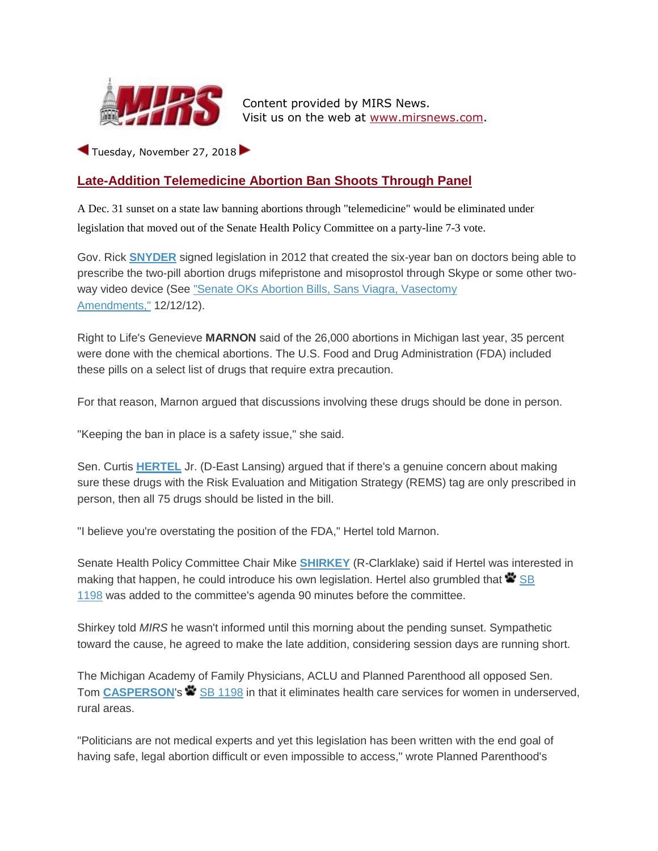

Content provided by MIRS News. Visit us on the web at [www.mirsnews.com.](https://mirsnews.com/)

Tuesday, November 27, 2018

## **Late-Addition Telemedicine Abortion Ban Shoots Through Panel**

A Dec. 31 sunset on a state law banning abortions through "telemedicine" would be eliminated under legislation that moved out of the Senate Health Policy Committee on a party-line 7-3 vote.

Gov. Rick **[SNYDER](https://mirsnews.com/exec_bio.php?lid=1)** signed legislation in 2012 that created the six-year ban on doctors being able to prescribe the two-pill abortion drugs mifepristone and misoprostol through Skype or some other twoway video device (See "Senate OKs Abortion Bills, Sans Viagra, Vasectomy [Amendments,"](https://mirsnews.com/capsule.php?gid=3980#33771) 12/12/12).

Right to Life's Genevieve **MARNON** said of the 26,000 abortions in Michigan last year, 35 percent were done with the chemical abortions. The U.S. Food and Drug Administration (FDA) included these pills on a select list of drugs that require extra precaution.

For that reason, Marnon argued that discussions involving these drugs should be done in person.

"Keeping the ban in place is a safety issue," she said.

Sen. Curtis **[HERTEL](https://mirsnews.com/leg_bio.php?lid=594)** Jr. (D-East Lansing) argued that if there's a genuine concern about making sure these drugs with the Risk Evaluation and Mitigation Strategy (REMS) tag are only prescribed in person, then all 75 drugs should be listed in the bill.

"I believe you're overstating the position of the FDA," Hertel told Marnon.

Senate Health Policy Committee Chair Mike **[SHIRKEY](https://mirsnews.com/leg_bio.php?lid=600)** (R-Clarklake) said if Hertel was interested in making that happen, he could introduce his own legislation. Hertel also grumbled that  $\blacktriangleright$  SB [1198](http://mirsnews.com/bills/details/37969) was added to the committee's agenda 90 minutes before the committee.

Shirkey told *MIRS* he wasn't informed until this morning about the pending sunset. Sympathetic toward the cause, he agreed to make the late addition, considering session days are running short.

The Michigan Academy of Family Physicians, ACLU and Planned Parenthood all opposed Sen. Tom **[CASPERSON](https://mirsnews.com/leg_bio.php?lid=428)'s**  $\bullet$  [SB 1198](http://mirsnews.com/bills/details/37969) in that it eliminates health care services for women in underserved, rural areas.

"Politicians are not medical experts and yet this legislation has been written with the end goal of having safe, legal abortion difficult or even impossible to access," wrote Planned Parenthood's